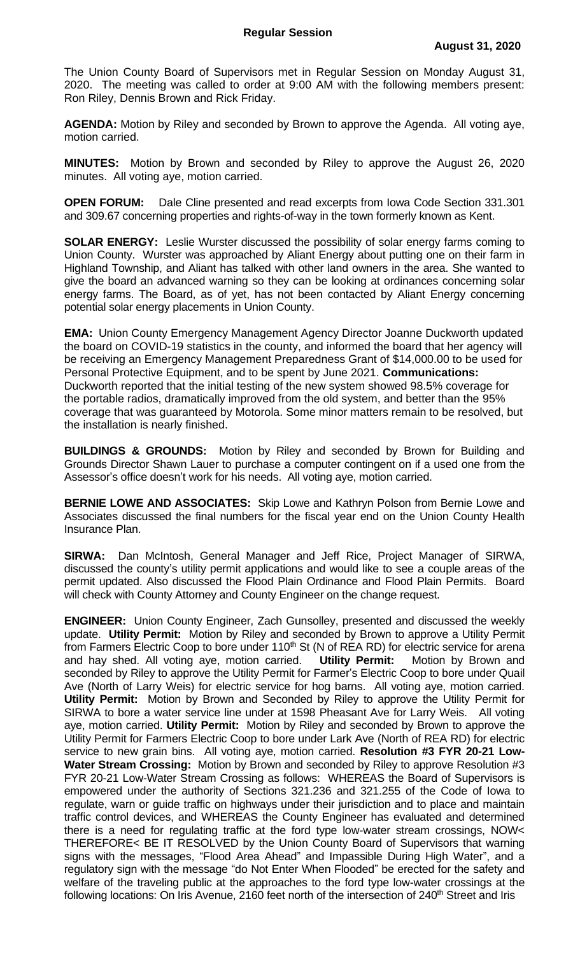The Union County Board of Supervisors met in Regular Session on Monday August 31, 2020. The meeting was called to order at 9:00 AM with the following members present: Ron Riley, Dennis Brown and Rick Friday.

**AGENDA:** Motion by Riley and seconded by Brown to approve the Agenda. All voting aye, motion carried.

**MINUTES:** Motion by Brown and seconded by Riley to approve the August 26, 2020 minutes. All voting aye, motion carried.

**OPEN FORUM:** Dale Cline presented and read excerpts from Iowa Code Section 331.301 and 309.67 concerning properties and rights-of-way in the town formerly known as Kent.

**SOLAR ENERGY:** Leslie Wurster discussed the possibility of solar energy farms coming to Union County. Wurster was approached by Aliant Energy about putting one on their farm in Highland Township, and Aliant has talked with other land owners in the area. She wanted to give the board an advanced warning so they can be looking at ordinances concerning solar energy farms. The Board, as of yet, has not been contacted by Aliant Energy concerning potential solar energy placements in Union County.

**EMA:** Union County Emergency Management Agency Director Joanne Duckworth updated the board on COVID-19 statistics in the county, and informed the board that her agency will be receiving an Emergency Management Preparedness Grant of \$14,000.00 to be used for Personal Protective Equipment, and to be spent by June 2021. **Communications:** Duckworth reported that the initial testing of the new system showed 98.5% coverage for the portable radios, dramatically improved from the old system, and better than the 95% coverage that was guaranteed by Motorola. Some minor matters remain to be resolved, but the installation is nearly finished.

**BUILDINGS & GROUNDS:** Motion by Riley and seconded by Brown for Building and Grounds Director Shawn Lauer to purchase a computer contingent on if a used one from the Assessor's office doesn't work for his needs. All voting aye, motion carried.

**BERNIE LOWE AND ASSOCIATES:** Skip Lowe and Kathryn Polson from Bernie Lowe and Associates discussed the final numbers for the fiscal year end on the Union County Health Insurance Plan.

**SIRWA:** Dan McIntosh, General Manager and Jeff Rice, Project Manager of SIRWA, discussed the county's utility permit applications and would like to see a couple areas of the permit updated. Also discussed the Flood Plain Ordinance and Flood Plain Permits. Board will check with County Attorney and County Engineer on the change request.

**ENGINEER:** Union County Engineer, Zach Gunsolley, presented and discussed the weekly update. **Utility Permit:** Motion by Riley and seconded by Brown to approve a Utility Permit from Farmers Electric Coop to bore under 110<sup>th</sup> St (N of REA RD) for electric service for arena and hay shed. All voting aye, motion carried. **Utility Permit:** Motion by Brown and seconded by Riley to approve the Utility Permit for Farmer's Electric Coop to bore under Quail Ave (North of Larry Weis) for electric service for hog barns. All voting aye, motion carried. **Utility Permit:** Motion by Brown and Seconded by Riley to approve the Utility Permit for SIRWA to bore a water service line under at 1598 Pheasant Ave for Larry Weis. All voting aye, motion carried. **Utility Permit:** Motion by Riley and seconded by Brown to approve the Utility Permit for Farmers Electric Coop to bore under Lark Ave (North of REA RD) for electric service to new grain bins. All voting aye, motion carried. **Resolution #3 FYR 20-21 Low-Water Stream Crossing:** Motion by Brown and seconded by Riley to approve Resolution #3 FYR 20-21 Low-Water Stream Crossing as follows: WHEREAS the Board of Supervisors is empowered under the authority of Sections 321.236 and 321.255 of the Code of Iowa to regulate, warn or guide traffic on highways under their jurisdiction and to place and maintain traffic control devices, and WHEREAS the County Engineer has evaluated and determined there is a need for regulating traffic at the ford type low-water stream crossings, NOW< THEREFORE< BE IT RESOLVED by the Union County Board of Supervisors that warning signs with the messages, "Flood Area Ahead" and Impassible During High Water", and a regulatory sign with the message "do Not Enter When Flooded" be erected for the safety and welfare of the traveling public at the approaches to the ford type low-water crossings at the following locations: On Iris Avenue, 2160 feet north of the intersection of 240<sup>th</sup> Street and Iris